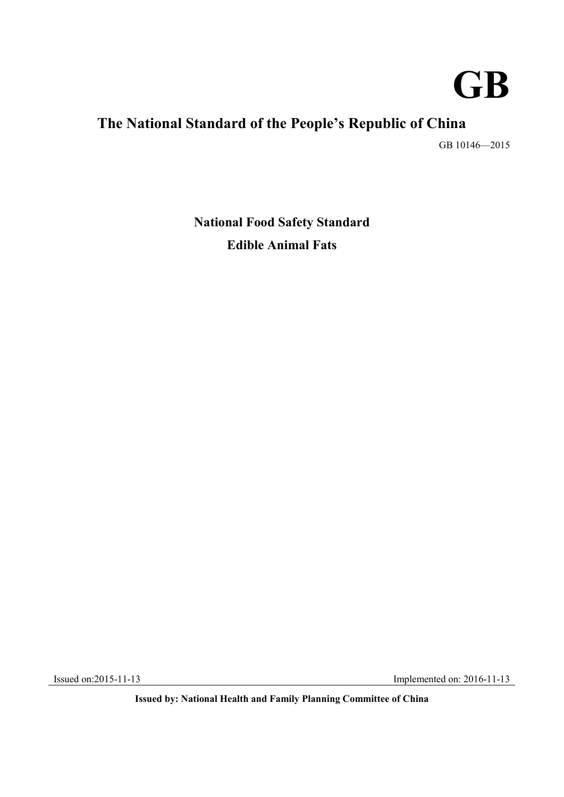

# **The National Standard of the People's Republic of China**

GB 10146—2015

**National Food Safety Standard Edible Animal Fats** 

Issued on:2015-11-13 Implemented on: 2016-11-13

 **Issued by: National Health and Family Planning Committee of China**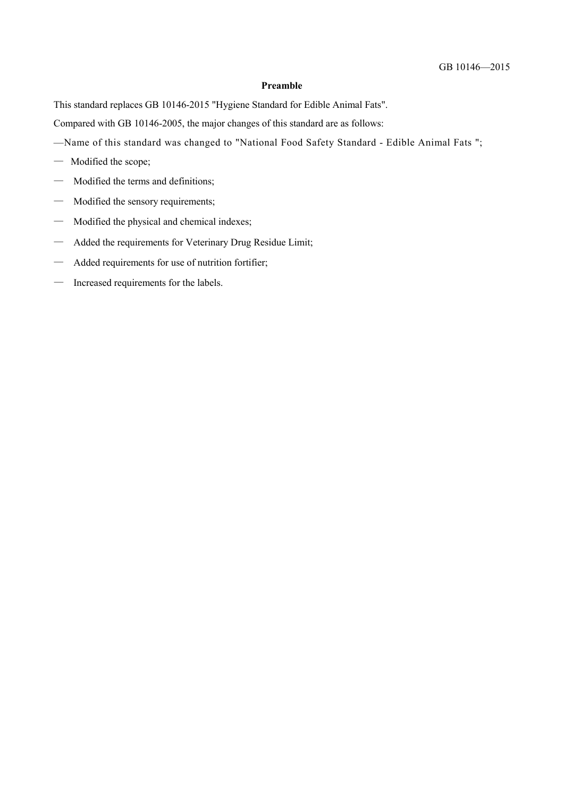#### **Preamble**

This standard replaces GB 10146-2015 "Hygiene Standard for Edible Animal Fats".

Compared with GB 10146-2005, the major changes of this standard are as follows:

- —Name of this standard was changed to "National Food Safety Standard Edible Animal Fats ";
- Modified the scope;
- Modified the terms and definitions;
- Modified the sensory requirements;
- Modified the physical and chemical indexes;
- Added the requirements for Veterinary Drug Residue Limit;
- Added requirements for use of nutrition fortifier;
- Increased requirements for the labels.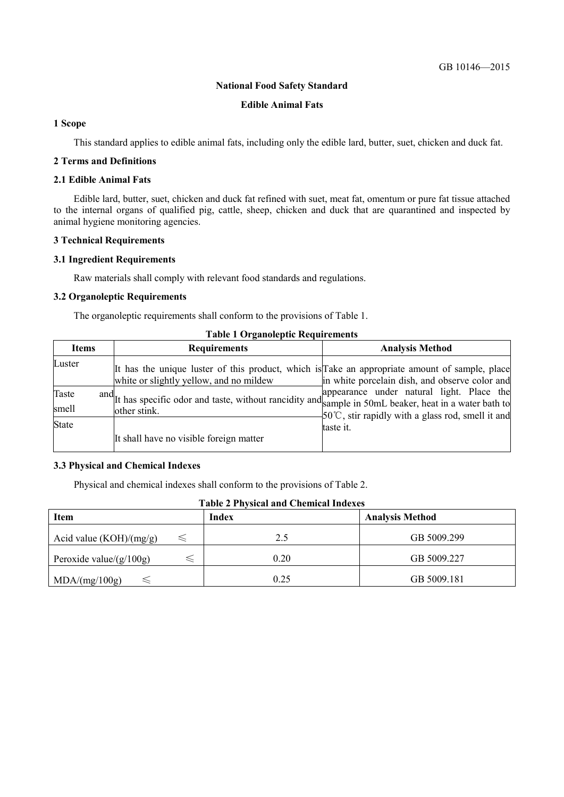#### **National Food Safety Standard**

#### **Edible Animal Fats**

# **1 Scope**

This standard applies to edible animal fats, including only the edible lard, butter, suet, chicken and duck fat.

# **2 Terms and Definitions**

# **2.1 Edible Animal Fats**

 to the internal organs of qualified pig, cattle, sheep, chicken and duck that are quarantined and inspected by animal hygiene monitoring agencies. Edible lard, butter, suet, chicken and duck fat refined with suet, meat fat, omentum or pure fat tissue attached

#### **3 Technical Requirements**

#### **3.1 Ingredient Requirements**

Raw materials shall comply with relevant food standards and regulations.

#### **3.2 Organoleptic Requirements**

The organoleptic requirements shall conform to the provisions of Table 1.

| <b>Items</b>   | <b>Requirements</b>                                                                                                                       | <b>Analysis Method</b>                                          |
|----------------|-------------------------------------------------------------------------------------------------------------------------------------------|-----------------------------------------------------------------|
| Luster         | It has the unique luster of this product, which is Take an appropriate amount of sample, place<br>white or slightly yellow, and no mildew | in white porcelain dish, and observe color and                  |
| Taste<br>smell | and It has specific odor and taste, without rancidity and sample in 50mL beaker, heat in a water bath to<br>other stink.                  | $\frac{1}{2}$ 50°C, stir rapidly with a glass rod, smell it and |
| <b>State</b>   | It shall have no visible foreign matter                                                                                                   | taste it.                                                       |

# **Table 1 Organoleptic Requirements**

#### **3.3 Physical and Chemical Indexes**

Physical and chemical indexes shall conform to the provisions of Table 2.

| Item                       | Index | <b>Analysis Method</b> |
|----------------------------|-------|------------------------|
| Acid value $(KOH)/(mg/g)$  | 2.5   | GB 5009.299            |
| Peroxide value/ $(g/100g)$ | 0.20  | GB 5009.227            |
| MDA/(mg/100g)              | 0.25  | GB 5009.181            |

#### **Table 2 Physical and Chemical Indexes**